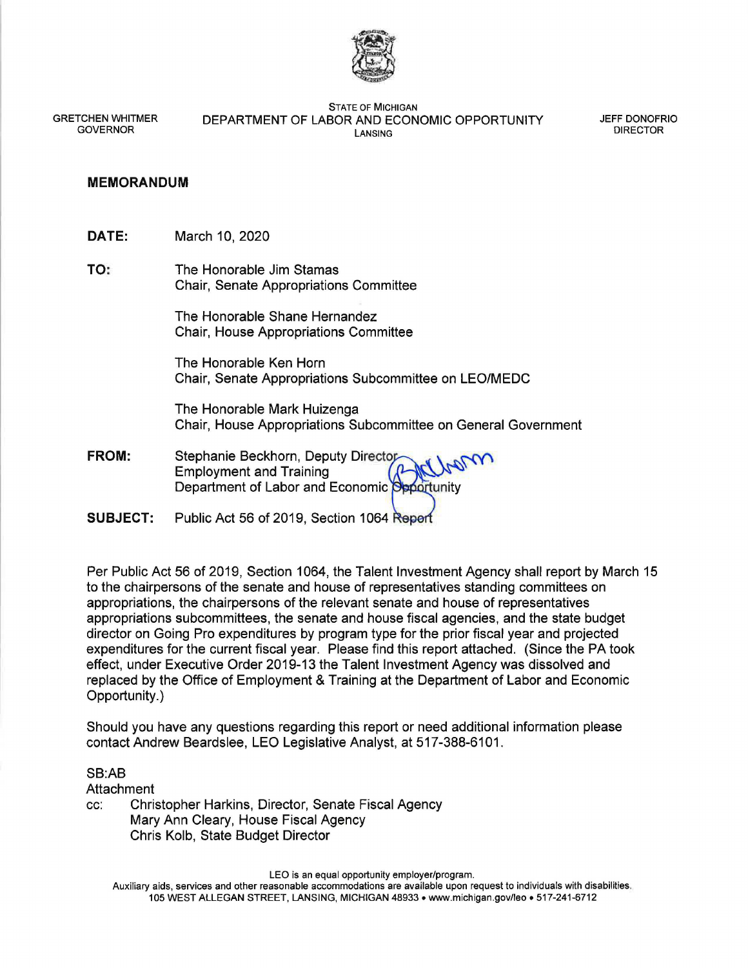

STATE OF **MICHIGAN**  GRETCHEN WHITMER **DEPARTMENT OF LABOR AND ECONOMIC OPPORTUNITY** JEFF DONOFRIO GOVERNOR DIRECTOR **LANSING** 

## **MEMORANDUM**

- **DATE:** March 10, 2020
- **TO:** The Honorable Jim Stamas Chair, Senate Appropriations Committee

The Honorable Shane Hernandez Chair, House Appropriations Committee

The Honorable Ken Horn Chair, Senate Appropriations Subcommittee on LEO/MEDC

The Honorable Mark Huizenga Chair, House Appropriations Subcommittee on General Government

**FROM:** Stephanie Beckhorn, Deputy Director Employment and Training Department of Labor and Economic Opportunity

**SUBJECT:** Public Act 56 of 2019, Section 1064

Per Public Act 56 of 2019, Section 1064, the Talent Investment Agency shall report by March 15 to the chairpersons of the senate and house of representatives standing committees on appropriations, the chairpersons of the relevant senate and house of representatives appropriations subcommittees, the senate and house fiscal agencies, and the state budget director on Going Pro expenditures by program type for the prior fiscal year and projected expenditures for the current fiscal year. Please find this report attached. (Since the PA took effect, under Executive Order 2019-13 the Talent Investment Agency was dissolved and replaced by the Office of Employment & Training at the Department of Labor and Economic Opportunity.)

Should you have any questions regarding this report or need additional information please contact Andrew Beardslee, LEO Legislative Analyst, at 517-388-6101.

## **SB:AB**

Attachment

cc: Christopher Harkins, Director, Senate Fiscal Agency Mary Ann Cleary, House Fiscal Agency Chris Kolb, State Budget Director

LEO is an equal opportunity employer/program.

Auxiliary aids, services and other reasonable accommodations are available upon request to individuals with disabilities. 105 WEST ALLEGAN STREET, LANSING, MICHIGAN 48933 • <www.michigan.gov/leo> • 517-241-6712